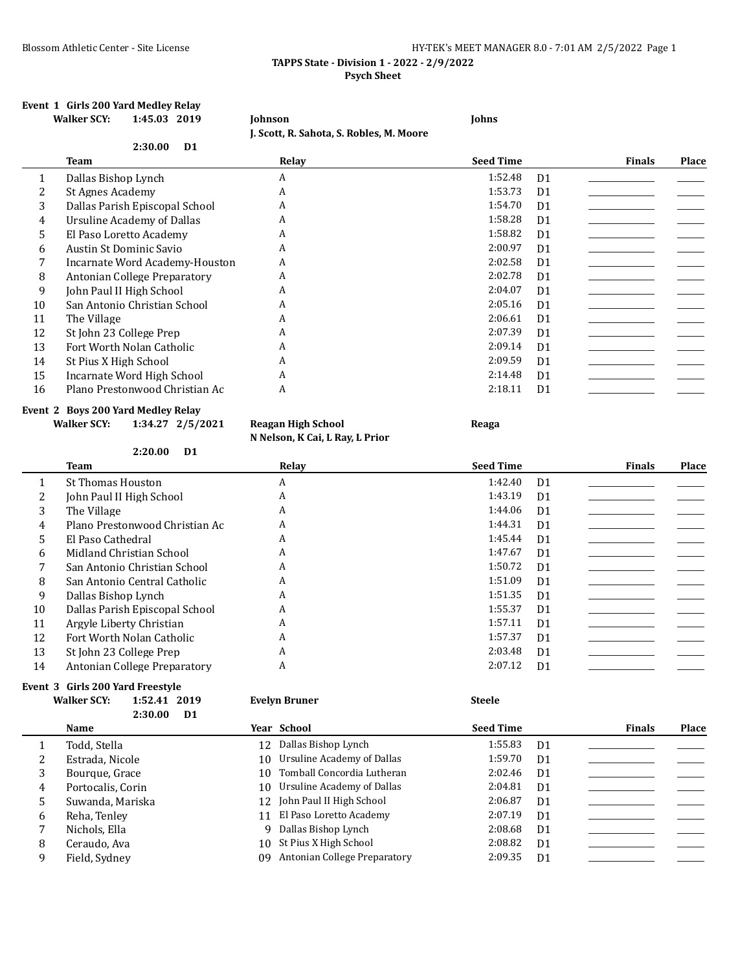# Blossom Athletic Center - Site License **HY-TEK's MEET MANAGER 8.0 - 7:01 AM 2/5/2022** Page 1

## **TAPPS State - Division 1 - 2022 - 2/9/2022 Psych Sheet**

### **Event 1 Girls 200 Yard Medley Relay Walker SCY: 1:45.03 2019 Johnson Johns**

**J. Scott, R. Sahota, S. Robles, M. Moore**

|    |                                | <b>1. SCOTT, IN. SAMORA, S. NODICS, PL. PIOOLC</b> |                  |                |               |       |
|----|--------------------------------|----------------------------------------------------|------------------|----------------|---------------|-------|
|    | 2:30.00<br>D <sub>1</sub>      |                                                    |                  |                |               |       |
|    | Team                           | Relay                                              | <b>Seed Time</b> |                | <b>Finals</b> | Place |
| 1  | Dallas Bishop Lynch            | A                                                  | 1:52.48          | D <sub>1</sub> |               |       |
|    | St Agnes Academy               | A                                                  | 1:53.73          | D <sub>1</sub> |               |       |
| 3  | Dallas Parish Episcopal School | A                                                  | 1:54.70          | D <sub>1</sub> |               |       |
| 4  | Ursuline Academy of Dallas     | A                                                  | 1:58.28          | D <sub>1</sub> |               |       |
| 5  | El Paso Loretto Academy        | A                                                  | 1:58.82          | D <sub>1</sub> |               |       |
| 6  | Austin St Dominic Savio        | A                                                  | 2:00.97          | D <sub>1</sub> |               |       |
|    | Incarnate Word Academy-Houston | A                                                  | 2:02.58          | D <sub>1</sub> |               |       |
| 8  | Antonian College Preparatory   | A                                                  | 2:02.78          | D <sub>1</sub> |               |       |
| 9  | John Paul II High School       | A                                                  | 2:04.07          | D <sub>1</sub> |               |       |
| 10 | San Antonio Christian School   | A                                                  | 2:05.16          | D <sub>1</sub> |               |       |
| 11 | The Village                    | A                                                  | 2:06.61          | D <sub>1</sub> |               |       |
| 12 | St John 23 College Prep        | A                                                  | 2:07.39          | D <sub>1</sub> |               |       |
| 13 | Fort Worth Nolan Catholic      | A                                                  | 2:09.14          | D <sub>1</sub> |               |       |
| 14 | St Pius X High School          | A                                                  | 2:09.59          | D <sub>1</sub> |               |       |
| 15 | Incarnate Word High School     | A                                                  | 2:14.48          | D <sub>1</sub> |               |       |
| 16 | Plano Prestonwood Christian Ac | A                                                  | 2:18.11          | D <sub>1</sub> |               |       |

### **Event 2 Boys 200 Yard Medley Relay**

**Walker SCY: 1:34.27 2/5/2021 Reagan High School Reaga**

**N Nelson, K Cai, L Ray, L Prior**

|    | 2:20.00<br>D <sub>1</sub>      |       |                  |                |               |              |
|----|--------------------------------|-------|------------------|----------------|---------------|--------------|
|    | <b>Team</b>                    | Relay | <b>Seed Time</b> |                | <b>Finals</b> | <b>Place</b> |
|    | <b>St Thomas Houston</b>       | A     | 1:42.40          | D <sub>1</sub> |               |              |
|    | John Paul II High School       | A     | 1:43.19          | D <sub>1</sub> |               |              |
| 3  | The Village                    | A     | 1:44.06          | D <sub>1</sub> |               |              |
| 4  | Plano Prestonwood Christian Ac | A     | 1:44.31          | D <sub>1</sub> |               |              |
| 5  | El Paso Cathedral              | A     | 1:45.44          | D <sub>1</sub> |               |              |
| 6  | Midland Christian School       | A     | 1:47.67          | D <sub>1</sub> |               |              |
|    | San Antonio Christian School   | A     | 1:50.72          | D <sub>1</sub> |               |              |
| 8  | San Antonio Central Catholic   | A     | 1:51.09          | D <sub>1</sub> |               |              |
| 9  | Dallas Bishop Lynch            | A     | 1:51.35          | D <sub>1</sub> |               |              |
| 10 | Dallas Parish Episcopal School | A     | 1:55.37          | D <sub>1</sub> |               |              |
| 11 | Argyle Liberty Christian       | A     | 1:57.11          | D <sub>1</sub> |               |              |
| 12 | Fort Worth Nolan Catholic      | A     | 1:57.37          | D <sub>1</sub> |               |              |
| 13 | St John 23 College Prep        | A     | 2:03.48          | D <sub>1</sub> |               |              |
| 14 | Antonian College Preparatory   | A     | 2:07.12          | D <sub>1</sub> |               |              |

### **Event 3 Girls 200 Yard Freestyle Walker SCY: 1:52.41 2019 Evelyn Bruner Steele**

|   | 2:30.00           | D1 |                              |                  |                |               |       |
|---|-------------------|----|------------------------------|------------------|----------------|---------------|-------|
|   | Name              |    | Year School                  | <b>Seed Time</b> |                | <b>Finals</b> | Place |
|   | Todd, Stella      |    | 12 Dallas Bishop Lynch       | 1:55.83          | D1             |               |       |
|   | Estrada, Nicole   | 10 | Ursuline Academy of Dallas   | 1:59.70          | D <sub>1</sub> |               |       |
| 3 | Bourque, Grace    | 10 | Tomball Concordia Lutheran   | 2:02.46          | D <sub>1</sub> |               |       |
| 4 | Portocalis, Corin | 10 | Ursuline Academy of Dallas   | 2:04.81          | D <sub>1</sub> |               |       |
| 5 | Suwanda, Mariska  |    | 12 John Paul II High School  | 2:06.87          | D <sub>1</sub> |               |       |
| 6 | Reha, Tenley      | 11 | El Paso Loretto Academy      | 2:07.19          | D <sub>1</sub> |               |       |
|   | Nichols, Ella     |    | 9 Dallas Bishop Lynch        | 2:08.68          | D <sub>1</sub> |               |       |
| 8 | Ceraudo, Ava      | 10 | St Pius X High School        | 2:08.82          | D <sub>1</sub> |               |       |
|   | Field, Sydney     | 09 | Antonian College Preparatory | 2:09.35          | D <sub>1</sub> |               |       |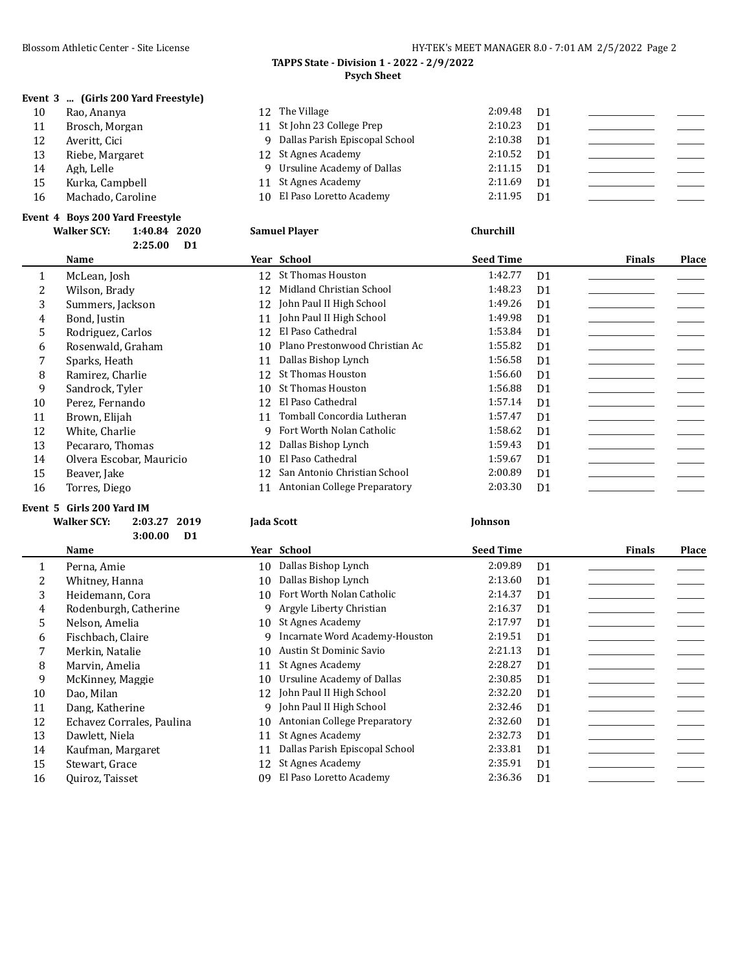**Event 3 ... (Girls 200 Yard Freestyle)**

# **TAPPS State - Division 1 - 2022 - 2/9/2022 Psych Sheet**

| 10 | Rao, Ananya       | 12 The Village                   | 2:09.48 | D1             |  |
|----|-------------------|----------------------------------|---------|----------------|--|
| 11 | Brosch, Morgan    | 11 St John 23 College Prep       | 2:10.23 | D <sub>1</sub> |  |
| 12 | Averitt, Cici     | 9 Dallas Parish Episcopal School | 2:10.38 | D1             |  |
| 13 | Riebe, Margaret   | 12 St Agnes Academy              | 2:10.52 | D <sub>1</sub> |  |
| 14 | Agh, Lelle        | 9 Ursuline Academy of Dallas     | 2:11.15 | D <sub>1</sub> |  |
| 15 | Kurka, Campbell   | 11 St Agnes Academy              | 2:11.69 | D <sub>1</sub> |  |
| 16 | Machado, Caroline | 10 El Paso Loretto Academy       | 2:11.95 | D1             |  |
|    |                   |                                  |         |                |  |

### **Event 4 Boys 200 Yard Freestyle**

|         | <b>Walker SCY:</b><br>1:40.84 2020<br>D <sub>1</sub><br>2:25.00 | <b>Samuel Player</b>                 | Churchill                 |                        |
|---------|-----------------------------------------------------------------|--------------------------------------|---------------------------|------------------------|
|         | Name                                                            | Year School                          | <b>Seed Time</b>          | Place<br><b>Finals</b> |
| $\perp$ | McLean, Josh                                                    | St Thomas Houston<br>12              | 1:42.77<br>D <sub>1</sub> |                        |
| 2       | Wilson, Brady                                                   | Midland Christian School<br>12       | 1:48.23<br>D <sub>1</sub> |                        |
| 3       | Summers, Jackson                                                | 12 John Paul II High School          | 1:49.26<br>D <sub>1</sub> |                        |
| 4       | Bond, Justin                                                    | John Paul II High School<br>11       | 1:49.98<br>D <sub>1</sub> |                        |
| 5       | Rodriguez, Carlos                                               | El Paso Cathedral<br>12              | 1:53.84<br>D <sub>1</sub> |                        |
| 6       | Rosenwald, Graham                                               | Plano Prestonwood Christian Ac<br>10 | 1:55.82<br>D <sub>1</sub> |                        |
| 7       | Sparks, Heath                                                   | Dallas Bishop Lynch<br>11            | 1:56.58<br>D <sub>1</sub> |                        |
| 8       | Ramirez, Charlie                                                | St Thomas Houston<br>12              | 1:56.60<br>D <sub>1</sub> |                        |
| 9       | Sandrock, Tyler                                                 | 10 St Thomas Houston                 | 1:56.88<br>D <sub>1</sub> |                        |
| 10      | Perez, Fernando                                                 | El Paso Cathedral<br>12              | 1:57.14<br>D <sub>1</sub> |                        |
| 11      | Brown, Elijah                                                   | Tomball Concordia Lutheran<br>11     | 1:57.47<br>D <sub>1</sub> |                        |
| 12      | White, Charlie                                                  | Fort Worth Nolan Catholic<br>9.      | 1:58.62<br>D <sub>1</sub> |                        |
| 13      | Pecararo, Thomas                                                | Dallas Bishop Lynch<br>12            | 1:59.43<br>D <sub>1</sub> |                        |
| 14      | Olvera Escobar, Mauricio                                        | El Paso Cathedral<br>10              | 1:59.67<br>D <sub>1</sub> |                        |

# 15 Beaver, Jake 12 San Antonio Christian School 2:00.89 D1 16 Torres, Diego 11 Antonian College Preparatory 2:03.30 D1

### **Event 5 Girls 200 Yard IM**

| Walker SCY: 2:03.27 2019 | <b>Iada Scott</b> | <b>Iohnson</b> |
|--------------------------|-------------------|----------------|
| $3:00.00$ D1             |                   |                |

|    | Name                      |              | Year School                    | <b>Seed Time</b> |                | <b>Finals</b> | Place |
|----|---------------------------|--------------|--------------------------------|------------------|----------------|---------------|-------|
|    | Perna, Amie               | 10           | Dallas Bishop Lynch            | 2:09.89          | D <sub>1</sub> |               |       |
|    | Whitney, Hanna            | 10           | Dallas Bishop Lynch            | 2:13.60          | D <sub>1</sub> |               |       |
| 3  | Heidemann, Cora           | 10           | Fort Worth Nolan Catholic      | 2:14.37          | D <sub>1</sub> |               |       |
| 4  | Rodenburgh, Catherine     | q            | Argyle Liberty Christian       | 2:16.37          | D <sub>1</sub> |               |       |
| 5. | Nelson, Amelia            | $10^{\circ}$ | St Agnes Academy               | 2:17.97          | D <sub>1</sub> |               |       |
| 6  | Fischbach, Claire         | 9            | Incarnate Word Academy-Houston | 2:19.51          | D <sub>1</sub> |               |       |
|    | Merkin, Natalie           | 10           | Austin St Dominic Savio        | 2:21.13          | D <sub>1</sub> |               |       |
| 8  | Marvin, Amelia            | 11           | St Agnes Academy               | 2:28.27          | D <sub>1</sub> |               |       |
| 9  | McKinney, Maggie          | 10           | Ursuline Academy of Dallas     | 2:30.85          | D <sub>1</sub> |               |       |
| 10 | Dao, Milan                |              | 12 John Paul II High School    | 2:32.20          | D <sub>1</sub> |               |       |
| 11 | Dang, Katherine           |              | 9 John Paul II High School     | 2:32.46          | D1             |               |       |
| 12 | Echavez Corrales, Paulina | 10           | Antonian College Preparatory   | 2:32.60          | D <sub>1</sub> |               |       |
| 13 | Dawlett, Niela            | 11           | St Agnes Academy               | 2:32.73          | D <sub>1</sub> |               |       |
| 14 | Kaufman, Margaret         | 11           | Dallas Parish Episcopal School | 2:33.81          | D <sub>1</sub> |               |       |
| 15 | Stewart, Grace            | 12           | St Agnes Academy               | 2:35.91          | D <sub>1</sub> |               |       |
| 16 | Quiroz, Taisset           | 09           | El Paso Loretto Academy        | 2:36.36          | D <sub>1</sub> |               |       |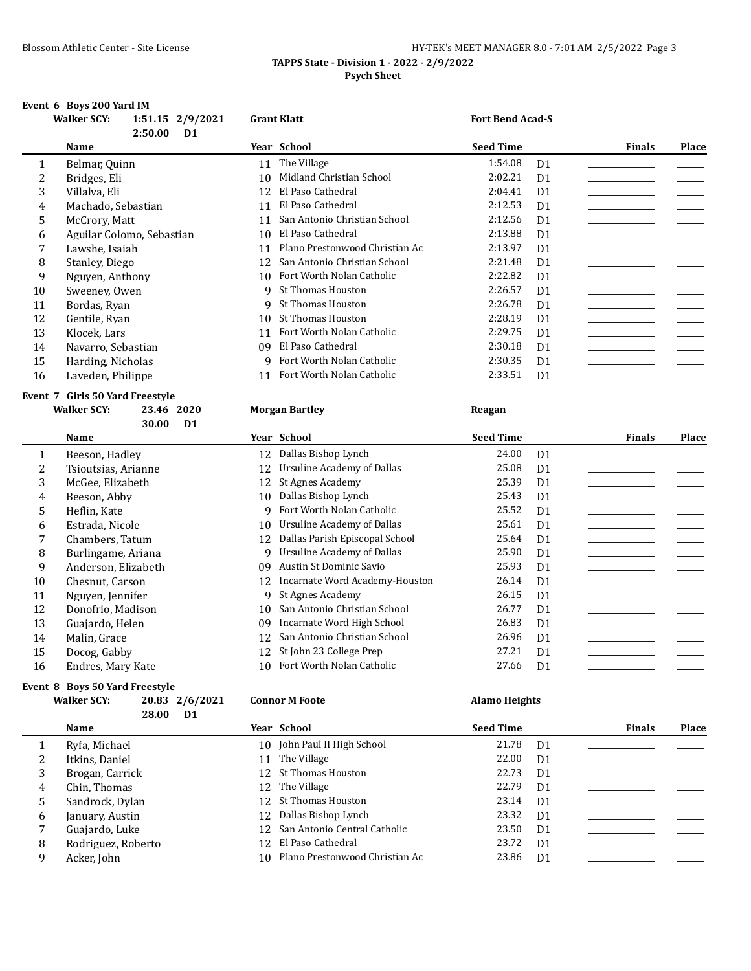# Blossom Athletic Center - Site License **HY-TEK's MEET MANAGER 8.0 - 7:01 AM 2/5/2022** Page 3 **TAPPS State - Division 1 - 2022 - 2/9/2022 Psych Sheet**

# **Event 6 Boys 200 Yard IM**

|    | <b>Walker SCY:</b>              | 1:51.15 2/9/2021<br>2:50.00<br>D <sub>1</sub> |    | <b>Grant Klatt</b>             | <b>Fort Bend Acad-S</b> |                |               |       |
|----|---------------------------------|-----------------------------------------------|----|--------------------------------|-------------------------|----------------|---------------|-------|
|    | <b>Name</b>                     |                                               |    | Year School                    | <b>Seed Time</b>        |                | <b>Finals</b> | Place |
| 1  | Belmar, Quinn                   |                                               | 11 | The Village                    | 1:54.08                 | D <sub>1</sub> |               |       |
| 2  | Bridges, Eli                    |                                               | 10 | Midland Christian School       | 2:02.21                 | D <sub>1</sub> |               |       |
| 3  | Villalva, Eli                   |                                               | 12 | El Paso Cathedral              | 2:04.41                 | D <sub>1</sub> |               |       |
| 4  | Machado, Sebastian              |                                               | 11 | El Paso Cathedral              | 2:12.53                 | D <sub>1</sub> |               |       |
| 5  | McCrory, Matt                   |                                               | 11 | San Antonio Christian School   | 2:12.56                 | D <sub>1</sub> |               |       |
| 6  | Aguilar Colomo, Sebastian       |                                               | 10 | El Paso Cathedral              | 2:13.88                 | D <sub>1</sub> |               |       |
| 7  | Lawshe, Isaiah                  |                                               | 11 | Plano Prestonwood Christian Ac | 2:13.97                 | D1             |               |       |
| 8  | Stanley, Diego                  |                                               | 12 | San Antonio Christian School   | 2:21.48                 | D <sub>1</sub> |               |       |
| 9  | Nguyen, Anthony                 |                                               | 10 | Fort Worth Nolan Catholic      | 2:22.82                 | D <sub>1</sub> |               |       |
| 10 | Sweeney, Owen                   |                                               | q  | <b>St Thomas Houston</b>       | 2:26.57                 | D <sub>1</sub> |               |       |
| 11 | Bordas, Ryan                    |                                               | 9  | St Thomas Houston              | 2:26.78                 | D <sub>1</sub> |               |       |
| 12 | Gentile, Ryan                   |                                               | 10 | <b>St Thomas Houston</b>       | 2:28.19                 | D <sub>1</sub> |               |       |
| 13 | Klocek, Lars                    |                                               | 11 | Fort Worth Nolan Catholic      | 2:29.75                 | D <sub>1</sub> |               |       |
| 14 | Navarro, Sebastian              |                                               | 09 | El Paso Cathedral              | 2:30.18                 | D <sub>1</sub> |               |       |
| 15 | Harding, Nicholas               |                                               | q  | Fort Worth Nolan Catholic      | 2:30.35                 | D1             |               |       |
| 16 | Laveden, Philippe               |                                               | 11 | Fort Worth Nolan Catholic      | 2:33.51                 | D1             |               |       |
|    | Event 7 Girls 50 Yard Freestyle |                                               |    |                                |                         |                |               |       |
|    | <b>Walker SCY:</b>              | 2020<br>23.46                                 |    | <b>Morgan Bartley</b>          | Reagan                  |                |               |       |
|    |                                 | 30.00<br>D <sub>1</sub>                       |    |                                |                         |                |               |       |

|    | Name                |
|----|---------------------|
| 1  | Beeson, Hadley      |
| 2  | Tsioutsias, Arianne |
| 3  | McGee. Elizabeth    |
| 4  | Beeson, Abby        |
| 5  | Heflin, Kate        |
| 6  | Estrada. Nicole     |
| 7  | Chambers, Tatum     |
| 8  | Burlingame, Ariana  |
| 9  | Anderson, Elizabeth |
| 10 | Chesnut, Carson     |
| 11 | Nguyen, Jennifer    |
| 12 | Donofrio, Madison   |
| 13 | Guajardo, Helen     |
| 14 | Malin, Grace        |
| 15 | Docog, Gabby        |
| 16 | Endres, Mary Kate   |

# **Event 8 Boys 50 Yard Freestyle**

| <b>Walker SCY:</b> |          | 20.83 2/6/2021 |  |
|--------------------|----------|----------------|--|
|                    | 28.00 D1 |                |  |

|    | Name                |     | Year School                    | <b>Seed Time</b> |                | <b>Finals</b> | Place |
|----|---------------------|-----|--------------------------------|------------------|----------------|---------------|-------|
| 1  | Beeson, Hadley      | 12  | Dallas Bishop Lynch            | 24.00            | D <sub>1</sub> |               |       |
| 2  | Tsioutsias, Arianne | 12  | Ursuline Academy of Dallas     | 25.08            | D <sub>1</sub> |               |       |
| 3  | McGee. Elizabeth    |     | 12 St Agnes Academy            | 25.39            | D1             |               |       |
| 4  | Beeson, Abby        | 10  | Dallas Bishop Lynch            | 25.43            | D1             |               |       |
| 5. | Heflin, Kate        | q   | Fort Worth Nolan Catholic      | 25.52            | D <sub>1</sub> |               |       |
| 6  | Estrada, Nicole     | 10  | Ursuline Academy of Dallas     | 25.61            | D <sub>1</sub> |               |       |
|    | Chambers, Tatum     | 12  | Dallas Parish Episcopal School | 25.64            | D <sub>1</sub> |               |       |
| 8  | Burlingame, Ariana  | q   | Ursuline Academy of Dallas     | 25.90            | D <sub>1</sub> |               |       |
| 9  | Anderson, Elizabeth | 09  | Austin St Dominic Savio        | 25.93            | D <sub>1</sub> |               |       |
| 10 | Chesnut, Carson     | 12  | Incarnate Word Academy-Houston | 26.14            | D <sub>1</sub> |               |       |
| 11 | Nguyen, Jennifer    | 9   | St Agnes Academy               | 26.15            | D <sub>1</sub> |               |       |
| 12 | Donofrio. Madison   | 10  | San Antonio Christian School   | 26.77            | D <sub>1</sub> |               |       |
| 13 | Guajardo, Helen     | 09  | Incarnate Word High School     | 26.83            | D <sub>1</sub> |               |       |
| 14 | Malin, Grace        | 12  | San Antonio Christian School   | 26.96            | D <sub>1</sub> |               |       |
| 15 | Docog, Gabby        |     | 12 St John 23 College Prep     | 27.21            | D <sub>1</sub> |               |       |
| 16 | Endres, Mary Kate   | 10. | Fort Worth Nolan Catholic      | 27.66            | D <sub>1</sub> |               |       |

# **Walker SCY: 20.83 2/6/2021 Connor M Foote Alamo Heights**

|   | Name               | Year School                       | <b>Seed Time</b> |                | <b>Finals</b> | Place |
|---|--------------------|-----------------------------------|------------------|----------------|---------------|-------|
|   | Ryfa, Michael      | 10 John Paul II High School       | 21.78            | D <sub>1</sub> |               |       |
| 2 | Itkins, Daniel     | 11 The Village                    | 22.00            | D <sub>1</sub> |               |       |
| 3 | Brogan, Carrick    | 12 St Thomas Houston              | 22.73            | D <sub>1</sub> |               |       |
| 4 | Chin, Thomas       | 12 The Village                    | 22.79            | D <sub>1</sub> |               |       |
| 5 | Sandrock, Dylan    | 12 St Thomas Houston              | 23.14            | D1             |               |       |
| 6 | January, Austin    | 12 Dallas Bishop Lynch            | 23.32            | D1             |               |       |
| 7 | Guajardo, Luke     | 12 San Antonio Central Catholic   | 23.50            | D <sub>1</sub> |               |       |
| 8 | Rodriguez, Roberto | 12 El Paso Cathedral              | 23.72            | D <sub>1</sub> |               |       |
| 9 | Acker, John        | 10 Plano Prestonwood Christian Ac | 23.86            | D <sub>1</sub> |               |       |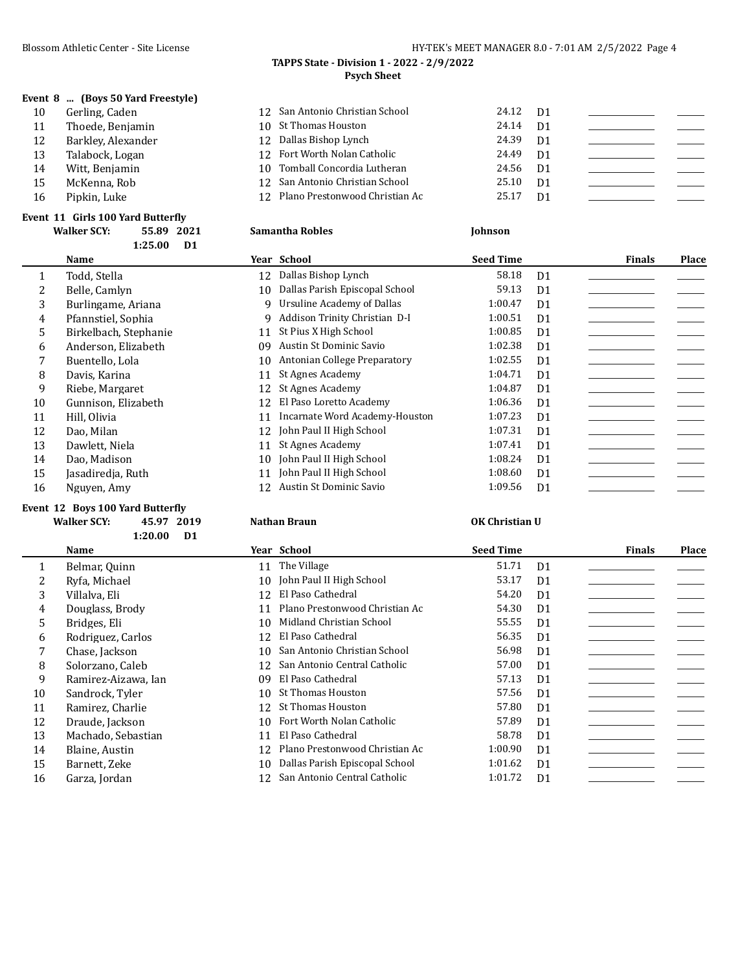**Event 8 ... (Boys 50 Yard Freestyle)**

# Blossom Athletic Center - Site License **HY-TEK's MEET MANAGER 8.0 - 7:01 AM 2/5/2022** Page 4

## **TAPPS State - Division 1 - 2022 - 2/9/2022 Psych Sheet**

| 10 | Gerling, Caden     | 12 San Antonio Christian School   | 24.12 D1 |  |  |
|----|--------------------|-----------------------------------|----------|--|--|
| 11 | Thoede, Benjamin   | 10 St Thomas Houston              | 24.14 D1 |  |  |
| 12 | Barkley, Alexander | 12 Dallas Bishop Lynch            | 24.39 D1 |  |  |
| 13 | Talabock, Logan    | 12 Fort Worth Nolan Catholic      | 24.49 D1 |  |  |
| 14 | Witt. Benjamin     | 10 Tomball Concordia Lutheran     | 24.56 D1 |  |  |
| 15 | McKenna, Rob       | 12 San Antonio Christian School   | 25.10 D1 |  |  |
| 16 | Pipkin, Luke       | 12 Plano Prestonwood Christian Ac | 25.17 D1 |  |  |
|    |                    |                                   |          |  |  |

### **Event 11 Girls 100 Yard Butterfly**

|    | <b>Walker SCY:</b><br>55.89<br>2021 | <b>Samantha Robles</b>               | <b>Johnson</b>            |                        |
|----|-------------------------------------|--------------------------------------|---------------------------|------------------------|
|    | 1:25.00<br>D <sub>1</sub>           |                                      |                           |                        |
|    | Name                                | Year School                          | <b>Seed Time</b>          | Place<br><b>Finals</b> |
| 1  | Todd, Stella                        | Dallas Bishop Lynch<br>12            | 58.18<br>D <sub>1</sub>   |                        |
|    | Belle, Camlyn                       | Dallas Parish Episcopal School<br>10 | 59.13<br>D <sub>1</sub>   |                        |
| 3  | Burlingame, Ariana                  | Ursuline Academy of Dallas<br>9      | 1:00.47<br>D <sub>1</sub> |                        |
| 4  | Pfannstiel, Sophia                  | Addison Trinity Christian D-I<br>q   | 1:00.51<br>D <sub>1</sub> |                        |
| 5  | Birkelbach, Stephanie               | St Pius X High School<br>11          | 1:00.85<br>D <sub>1</sub> |                        |
| 6  | Anderson, Elizabeth                 | Austin St Dominic Savio<br>09        | 1:02.38<br>D <sub>1</sub> |                        |
|    | Buentello, Lola                     | Antonian College Preparatory<br>10   | 1:02.55<br>D <sub>1</sub> |                        |
| 8  | Davis, Karina                       | St Agnes Academy<br>11               | 1:04.71<br>D <sub>1</sub> |                        |
| 9  | Riebe, Margaret                     | St Agnes Academy<br>12               | 1:04.87<br>D <sub>1</sub> |                        |
| 10 | Gunnison, Elizabeth                 | El Paso Loretto Academy<br>12        | 1:06.36<br>D <sub>1</sub> |                        |
| 11 | Hill, Olivia                        | Incarnate Word Academy-Houston<br>11 | 1:07.23<br>D <sub>1</sub> |                        |
| 12 | Dao, Milan                          | John Paul II High School<br>12       | 1:07.31<br>D <sub>1</sub> |                        |
| 13 | Dawlett, Niela                      | St Agnes Academy<br>11               | 1:07.41<br>D <sub>1</sub> |                        |
| 14 | Dao, Madison                        | John Paul II High School<br>10       | 1:08.24<br>D <sub>1</sub> |                        |
| 15 | Jasadiredja, Ruth                   | John Paul II High School<br>11       | 1:08.60<br>D <sub>1</sub> |                        |
| 16 | Nguyen, Amy                         | Austin St Dominic Savio<br>12        | 1:09.56<br>D <sub>1</sub> |                        |

# **Event 12 Boys 100 Yard Butterfly**

**Walker SCY: 45.97 2019 Nathan Braun OK Christian U 1:20.00 D1**

|    | Name                |    | Year School                     | <b>Seed Time</b> |                | <b>Finals</b> | <b>Place</b> |
|----|---------------------|----|---------------------------------|------------------|----------------|---------------|--------------|
|    | Belmar, Quinn       |    | 11 The Village                  | 51.71            | D <sub>1</sub> |               |              |
|    | Ryfa, Michael       |    | 10 John Paul II High School     | 53.17            | D <sub>1</sub> |               |              |
| 3  | Villalva. Eli       | 12 | El Paso Cathedral               | 54.20            | D <sub>1</sub> |               |              |
| 4  | Douglass, Brody     |    | Plano Prestonwood Christian Ac  | 54.30            | D <sub>1</sub> |               |              |
| 5. | Bridges, Eli        | 10 | Midland Christian School        | 55.55            | D <sub>1</sub> |               |              |
| 6  | Rodriguez, Carlos   | 12 | El Paso Cathedral               | 56.35            | D <sub>1</sub> |               |              |
|    | Chase, Jackson      | 10 | San Antonio Christian School    | 56.98            | D <sub>1</sub> |               |              |
| 8  | Solorzano, Caleb    |    | 12 San Antonio Central Catholic | 57.00            | D <sub>1</sub> |               |              |
| 9  | Ramirez-Aizawa, Ian | 09 | El Paso Cathedral               | 57.13            | D <sub>1</sub> |               |              |
| 10 | Sandrock, Tyler     | 10 | <b>St Thomas Houston</b>        | 57.56            | D <sub>1</sub> |               |              |
| 11 | Ramirez, Charlie    |    | 12 St Thomas Houston            | 57.80            | D <sub>1</sub> |               |              |
| 12 | Draude, Jackson     | 10 | Fort Worth Nolan Catholic       | 57.89            | D <sub>1</sub> |               |              |
| 13 | Machado, Sebastian  | 11 | El Paso Cathedral               | 58.78            | D <sub>1</sub> |               |              |
| 14 | Blaine, Austin      | 12 | Plano Prestonwood Christian Ac  | 1:00.90          | D <sub>1</sub> |               |              |
| 15 | Barnett, Zeke       | 10 | Dallas Parish Episcopal School  | 1:01.62          | D <sub>1</sub> |               |              |
| 16 | Garza, Jordan       |    | San Antonio Central Catholic    | 1:01.72          | D <sub>1</sub> |               |              |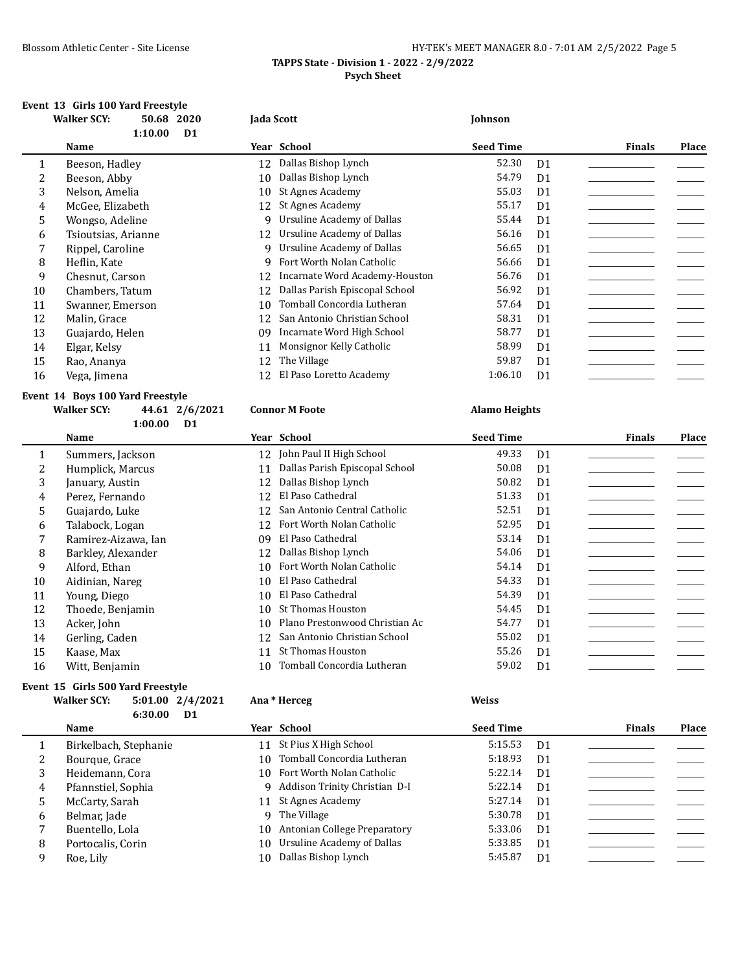# Blossom Athletic Center - Site License **HY-TEK's MEET MANAGER 8.0 - 7:01 AM 2/5/2022** Page 5 **TAPPS State - Division 1 - 2022 - 2/9/2022 Psych Sheet**

# **Event 13 Girls 100 Yard Freestyle**

|              | <b>Walker SCY:</b>  | 50.68   | 2020           | Jada Scott |                                | Johnson          |                |               |       |
|--------------|---------------------|---------|----------------|------------|--------------------------------|------------------|----------------|---------------|-------|
|              |                     | 1:10.00 | D <sub>1</sub> |            |                                |                  |                |               |       |
|              | Name                |         |                |            | Year School                    | <b>Seed Time</b> |                | <b>Finals</b> | Place |
| $\mathbf{1}$ | Beeson, Hadley      |         |                | 12         | Dallas Bishop Lynch            | 52.30            | D <sub>1</sub> |               |       |
| 2            | Beeson, Abby        |         |                | 10         | Dallas Bishop Lynch            | 54.79            | D <sub>1</sub> |               |       |
| 3            | Nelson, Amelia      |         |                | 10         | St Agnes Academy               | 55.03            | D <sub>1</sub> |               |       |
| 4            | McGee, Elizabeth    |         |                | 12         | St Agnes Academy               | 55.17            | D <sub>1</sub> |               |       |
| 5            | Wongso, Adeline     |         |                |            | 9 Ursuline Academy of Dallas   | 55.44            | D <sub>1</sub> |               |       |
| 6            | Tsioutsias, Arianne |         |                | 12         | Ursuline Academy of Dallas     | 56.16            | D <sub>1</sub> |               |       |
|              | Rippel, Caroline    |         |                | 9          | Ursuline Academy of Dallas     | 56.65            | D <sub>1</sub> |               |       |
| 8            | Heflin, Kate        |         |                | 9          | Fort Worth Nolan Catholic      | 56.66            | D <sub>1</sub> |               |       |
| 9            | Chesnut, Carson     |         |                | 12         | Incarnate Word Academy-Houston | 56.76            | D <sub>1</sub> |               |       |
| 10           | Chambers, Tatum     |         |                | 12         | Dallas Parish Episcopal School | 56.92            | D <sub>1</sub> |               |       |
| 11           | Swanner, Emerson    |         |                | 10         | Tomball Concordia Lutheran     | 57.64            | D <sub>1</sub> |               |       |
| 12           | Malin, Grace        |         |                | 12         | San Antonio Christian School   | 58.31            | D <sub>1</sub> |               |       |
| 13           | Guajardo, Helen     |         |                | 09         | Incarnate Word High School     | 58.77            | D <sub>1</sub> |               |       |
| 14           | Elgar, Kelsy        |         |                | 11         | Monsignor Kelly Catholic       | 58.99            | D <sub>1</sub> |               |       |
| 15           | Rao, Ananya         |         |                | 12         | The Village                    | 59.87            | D <sub>1</sub> |               |       |
| 16           | Vega, Jimena        |         |                | 12         | El Paso Loretto Academy        | 1:06.10          | D <sub>1</sub> |               |       |

## **Event 14 Boys 100 Yard Freestyle Walker SCY: 44.61 2/6/2021 Connor M Foote Alamo Heights**

|    | 1:00.00             | D <sub>1</sub> |                                |                  |                |               |       |
|----|---------------------|----------------|--------------------------------|------------------|----------------|---------------|-------|
|    | Name                |                | Year School                    | <b>Seed Time</b> |                | <b>Finals</b> | Place |
| 1  | Summers, Jackson    | 12             | John Paul II High School       | 49.33            | D <sub>1</sub> |               |       |
| 2  | Humplick, Marcus    | 11             | Dallas Parish Episcopal School | 50.08            | D <sub>1</sub> |               |       |
| 3  | January, Austin     | 12             | Dallas Bishop Lynch            | 50.82            | D <sub>1</sub> |               |       |
| 4  | Perez, Fernando     | 12             | El Paso Cathedral              | 51.33            | D <sub>1</sub> |               |       |
| 5  | Guajardo, Luke      | 12             | San Antonio Central Catholic   | 52.51            | D <sub>1</sub> |               |       |
| 6  | Talabock, Logan     | 12             | Fort Worth Nolan Catholic      | 52.95            | D <sub>1</sub> |               |       |
|    | Ramirez-Aizawa, Ian | 09             | El Paso Cathedral              | 53.14            | D <sub>1</sub> |               |       |
| 8  | Barkley, Alexander  | 12             | Dallas Bishop Lynch            | 54.06            | D <sub>1</sub> |               |       |
| 9  | Alford, Ethan       | 10             | Fort Worth Nolan Catholic      | 54.14            | D <sub>1</sub> |               |       |
| 10 | Aidinian, Nareg     | 10             | El Paso Cathedral              | 54.33            | D <sub>1</sub> |               |       |
| 11 | Young, Diego        | 10             | El Paso Cathedral              | 54.39            | D <sub>1</sub> |               |       |
| 12 | Thoede, Benjamin    | 10             | <b>St Thomas Houston</b>       | 54.45            | D <sub>1</sub> |               |       |
| 13 | Acker, John         | 10             | Plano Prestonwood Christian Ac | 54.77            | D <sub>1</sub> |               |       |
| 14 | Gerling, Caden      | 12             | San Antonio Christian School   | 55.02            | D <sub>1</sub> |               |       |
| 15 | Kaase, Max          | 11             | <b>St Thomas Houston</b>       | 55.26            | D <sub>1</sub> |               |       |
| 16 | Witt, Benjamin      | 10             | Tomball Concordia Lutheran     | 59.02            | D <sub>1</sub> |               |       |
|    |                     |                |                                |                  |                |               |       |

# **Event 15 Girls 500 Yard Freestyle**

| <b>Walker SCY:</b> |         | $5:01.00$ $2/4/2021$ |
|--------------------|---------|----------------------|
|                    | 6:30.00 | D1.                  |

### **Walker SCY: 5:01.00 2/4/2021 Ana \* Herceg Weiss**

|   | Name                  |    | Year School                     | <b>Seed Time</b> |                | <b>Finals</b> | <b>Place</b> |
|---|-----------------------|----|---------------------------------|------------------|----------------|---------------|--------------|
|   | Birkelbach, Stephanie |    | 11 St Pius X High School        | 5:15.53          | D <sub>1</sub> |               |              |
| ∠ | Bourque, Grace        |    | 10 Tomball Concordia Lutheran   | 5:18.93          | D <sub>1</sub> |               |              |
|   | Heidemann, Cora       |    | 10 Fort Worth Nolan Catholic    | 5:22.14          | D <sub>1</sub> |               |              |
| 4 | Pfannstiel, Sophia    |    | 9 Addison Trinity Christian D-I | 5:22.14          | D <sub>1</sub> |               |              |
|   | McCarty, Sarah        |    | 11 St Agnes Academy             | 5:27.14          | D <sub>1</sub> |               |              |
| 6 | Belmar, Jade          |    | 9 The Village                   | 5:30.78          | D <sub>1</sub> |               |              |
|   | Buentello, Lola       |    | 10 Antonian College Preparatory | 5:33.06          | D <sub>1</sub> |               |              |
| 8 | Portocalis, Corin     |    | 10 Ursuline Academy of Dallas   | 5:33.85          | D <sub>1</sub> |               |              |
| q | Roe, Lily             | 10 | Dallas Bishop Lynch             | 5:45.87          | D <sub>1</sub> |               |              |
|   |                       |    |                                 |                  |                |               |              |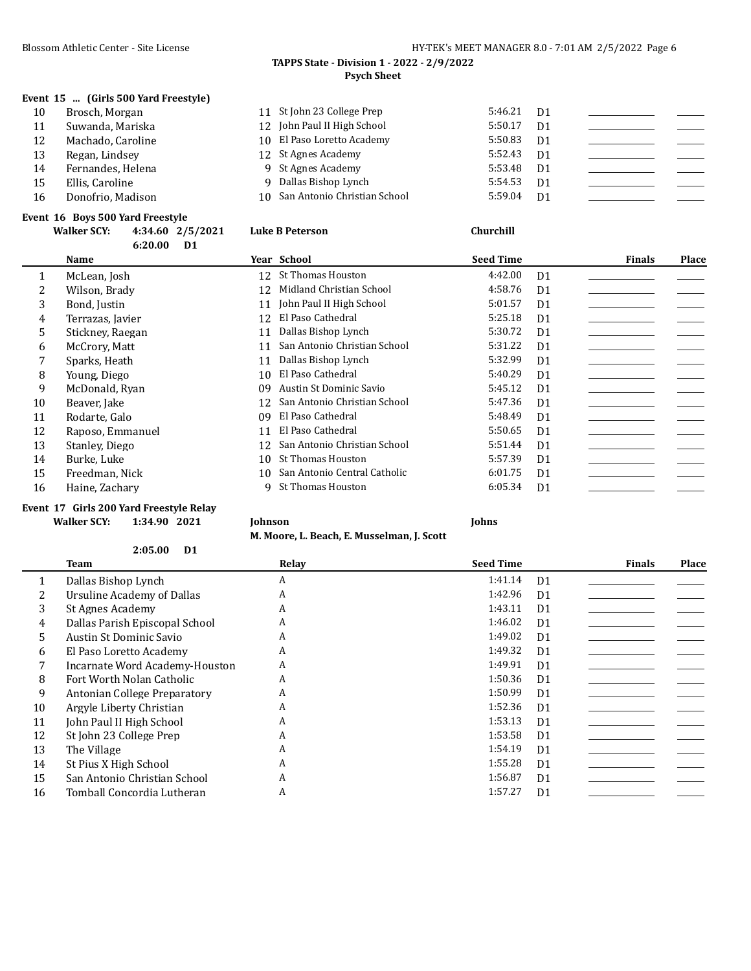# **TAPPS State - Division 1 - 2022 - 2/9/2022 Psych Sheet**

# **Event 15 ... (Girls 500 Yard Freestyle)**

| 10 | Brosch, Morgan    | 11 St John 23 College Prep      | 5:46.21 | D <sub>1</sub> |  |
|----|-------------------|---------------------------------|---------|----------------|--|
| 11 | Suwanda, Mariska  | 12 John Paul II High School     | 5:50.17 | D <sub>1</sub> |  |
| 12 | Machado, Caroline | 10 El Paso Loretto Academy      | 5:50.83 | D <sub>1</sub> |  |
| 13 | Regan, Lindsey    | 12 St Agnes Academy             | 5:52.43 | D <sub>1</sub> |  |
| 14 | Fernandes, Helena | 9 St Agnes Academy              | 5:53.48 | D <sub>1</sub> |  |
| 15 | Ellis, Caroline   | 9 Dallas Bishop Lynch           | 5:54.53 | D <sub>1</sub> |  |
| 16 | Donofrio, Madison | 10 San Antonio Christian School | 5:59.04 | D <sub>1</sub> |  |
|    |                   |                                 |         |                |  |

# **Event 16 Boys 500 Yard Freestyle**

|    | <b>Walker SCY:</b> | 4:34.60 2/5/2021          |    | <b>Luke B Peterson</b>       | Churchill        |                |               |              |
|----|--------------------|---------------------------|----|------------------------------|------------------|----------------|---------------|--------------|
|    |                    | 6:20.00<br>D <sub>1</sub> |    |                              |                  |                |               |              |
|    | Name               |                           |    | Year School                  | <b>Seed Time</b> |                | <b>Finals</b> | <b>Place</b> |
|    | McLean, Josh       |                           |    | 12 St Thomas Houston         | 4:42.00          | D <sub>1</sub> |               |              |
| 2  | Wilson, Brady      |                           | 12 | Midland Christian School     | 4:58.76          | D <sub>1</sub> |               |              |
| 3  | Bond, Justin       |                           | 11 | John Paul II High School     | 5:01.57          | D <sub>1</sub> |               |              |
| 4  | Terrazas, Javier   |                           | 12 | El Paso Cathedral            | 5:25.18          | D <sub>1</sub> |               |              |
| 5  | Stickney, Raegan   |                           | 11 | Dallas Bishop Lynch          | 5:30.72          | D <sub>1</sub> |               |              |
| 6  | McCrory, Matt      |                           | 11 | San Antonio Christian School | 5:31.22          | D <sub>1</sub> |               |              |
|    | Sparks, Heath      |                           | 11 | Dallas Bishop Lynch          | 5:32.99          | D <sub>1</sub> |               |              |
| 8  | Young, Diego       |                           | 10 | El Paso Cathedral            | 5:40.29          | D <sub>1</sub> |               |              |
| 9  | McDonald, Ryan     |                           | 09 | Austin St Dominic Savio      | 5:45.12          | D <sub>1</sub> |               |              |
| 10 | Beaver, Jake       |                           | 12 | San Antonio Christian School | 5:47.36          | D <sub>1</sub> |               |              |
| 11 | Rodarte, Galo      |                           | 09 | El Paso Cathedral            | 5:48.49          | D <sub>1</sub> |               |              |
| 12 | Raposo, Emmanuel   |                           | 11 | El Paso Cathedral            | 5:50.65          | D <sub>1</sub> |               |              |
| 13 | Stanley, Diego     |                           | 12 | San Antonio Christian School | 5:51.44          | D <sub>1</sub> |               |              |
| 14 | Burke, Luke        |                           | 10 | St Thomas Houston            | 5:57.39          | D <sub>1</sub> |               |              |
| 15 | Freedman, Nick     |                           | 10 | San Antonio Central Catholic | 6:01.75          | D <sub>1</sub> |               |              |
| 16 | Haine, Zachary     |                           | 9  | St Thomas Houston            | 6:05.34          | D <sub>1</sub> |               |              |

### **Event 17 Girls 200 Yard Freestyle Relay Walker SCY: 1:34.90 2021 Johnson Johns**

**M. Moore, L. Beach, E. Musselman, J. Scott**

|    | 2:05.00<br>D <sub>1</sub>      |       |                  |                |               |       |
|----|--------------------------------|-------|------------------|----------------|---------------|-------|
|    | Team                           | Relay | <b>Seed Time</b> |                | <b>Finals</b> | Place |
|    | Dallas Bishop Lynch            | A     | 1:41.14          | D <sub>1</sub> |               |       |
| 2  | Ursuline Academy of Dallas     | A     | 1:42.96          | D <sub>1</sub> |               |       |
| 3  | St Agnes Academy               | A     | 1:43.11          | D <sub>1</sub> |               |       |
| 4  | Dallas Parish Episcopal School | A     | 1:46.02          | D <sub>1</sub> |               |       |
| 5. | Austin St Dominic Savio        | A     | 1:49.02          | D <sub>1</sub> |               |       |
| 6  | El Paso Loretto Academy        | A     | 1:49.32          | D <sub>1</sub> |               |       |
|    | Incarnate Word Academy-Houston | A     | 1:49.91          | D <sub>1</sub> |               |       |
| 8  | Fort Worth Nolan Catholic      | A     | 1:50.36          | D <sub>1</sub> |               |       |
| 9  | Antonian College Preparatory   | A     | 1:50.99          | D <sub>1</sub> |               |       |
| 10 | Argyle Liberty Christian       | A     | 1:52.36          | D <sub>1</sub> |               |       |
| 11 | John Paul II High School       | A     | 1:53.13          | D <sub>1</sub> |               |       |
| 12 | St John 23 College Prep        | A     | 1:53.58          | D <sub>1</sub> |               |       |
| 13 | The Village                    | A     | 1:54.19          | D <sub>1</sub> |               |       |
| 14 | St Pius X High School          | A     | 1:55.28          | D <sub>1</sub> |               |       |
| 15 | San Antonio Christian School   | A     | 1:56.87          | D <sub>1</sub> |               |       |
| 16 | Tomball Concordia Lutheran     | A     | 1:57.27          | D <sub>1</sub> |               |       |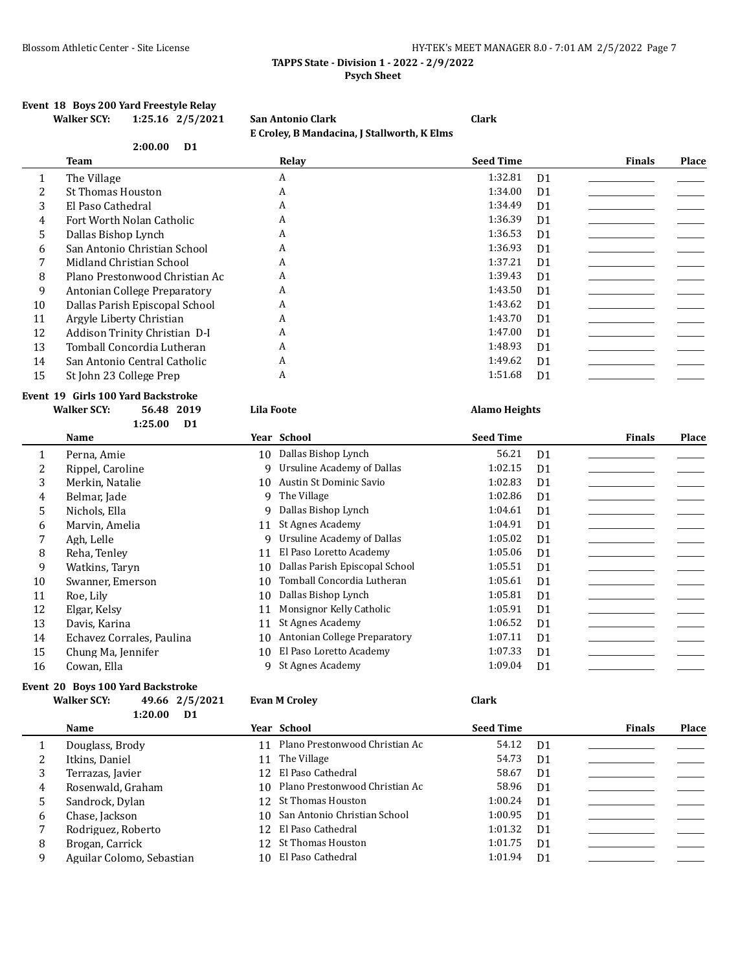## **TAPPS State - Division 1 - 2022 - 2/9/2022 Psych Sheet**

### **Event 18 Boys 200 Yard Freestyle Relay Walker SCY: 1:25.16 2/5/2021 San Antonio Clark Clark**

|                  |                                    |                   | E Croley, B Mandacina, J Stallworth, K Elms |                      |                |               |              |
|------------------|------------------------------------|-------------------|---------------------------------------------|----------------------|----------------|---------------|--------------|
|                  | 2:00.00<br>D <sub>1</sub>          |                   |                                             |                      |                |               |              |
|                  | <b>Team</b>                        |                   | Relay                                       | <b>Seed Time</b>     |                | <b>Finals</b> | <b>Place</b> |
| 1                | The Village                        |                   | A                                           | 1:32.81              | D <sub>1</sub> |               |              |
| $\overline{c}$   | <b>St Thomas Houston</b>           |                   | A                                           | 1:34.00              | D <sub>1</sub> |               |              |
| 3                | El Paso Cathedral                  |                   | A                                           | 1:34.49              | D <sub>1</sub> |               |              |
| 4                | Fort Worth Nolan Catholic          |                   | A                                           | 1:36.39              | D <sub>1</sub> |               |              |
| 5                | Dallas Bishop Lynch                |                   | A                                           | 1:36.53              | D <sub>1</sub> |               |              |
| 6                | San Antonio Christian School       |                   | A                                           | 1:36.93              | D <sub>1</sub> |               |              |
| 7                | Midland Christian School           |                   | A                                           | 1:37.21              | D <sub>1</sub> |               |              |
| 8                | Plano Prestonwood Christian Ac     |                   | A                                           | 1:39.43              | D <sub>1</sub> |               |              |
| 9                | Antonian College Preparatory       |                   | A                                           | 1:43.50              | D <sub>1</sub> |               |              |
| 10               | Dallas Parish Episcopal School     |                   | A                                           | 1:43.62              | D <sub>1</sub> |               |              |
| 11               | Argyle Liberty Christian           |                   | A                                           | 1:43.70              | D <sub>1</sub> |               |              |
| 12               | Addison Trinity Christian D-I      |                   | A                                           | 1:47.00              | D <sub>1</sub> |               |              |
| 13               | Tomball Concordia Lutheran         |                   | A                                           | 1:48.93              | D <sub>1</sub> |               |              |
| 14               | San Antonio Central Catholic       |                   | A                                           | 1:49.62              | D1             |               |              |
| 15               | St John 23 College Prep            |                   | A                                           | 1:51.68              | D <sub>1</sub> |               |              |
|                  | Event 19 Girls 100 Yard Backstroke |                   |                                             |                      |                |               |              |
|                  | <b>Walker SCY:</b><br>56.48 2019   | <b>Lila Foote</b> |                                             | <b>Alamo Heights</b> |                |               |              |
|                  | 1:25.00<br>D <sub>1</sub>          |                   |                                             |                      |                |               |              |
|                  | Name                               |                   | Year School                                 | <b>Seed Time</b>     |                | <b>Finals</b> | <b>Place</b> |
| 1                | Perna, Amie                        |                   | 10 Dallas Bishop Lynch                      | 56.21                | D <sub>1</sub> |               |              |
| $\overline{c}$   | Rippel, Caroline                   | 9                 | <b>Ursuline Academy of Dallas</b>           | 1:02.15              | D <sub>1</sub> |               |              |
| 3                | Merkin, Natalie                    | 10                | Austin St Dominic Savio                     | 1:02.83              | D <sub>1</sub> |               |              |
| $\boldsymbol{4}$ | Belmar, Jade                       | 9                 | The Village                                 | 1:02.86              | D <sub>1</sub> |               |              |
| 5                | Nichols, Ella                      | $\mathbf{q}$      | Dallas Bishop Lynch                         | 1:04.61              | D <sub>1</sub> |               |              |
| 6                | Marvin, Amelia                     | 11                | St Agnes Academy                            | 1:04.91              | D <sub>1</sub> |               |              |
| 7                | Agh, Lelle                         | 9                 | <b>Ursuline Academy of Dallas</b>           | 1:05.02              | D <sub>1</sub> |               |              |
| 8                | Reha, Tenley                       | 11                | El Paso Loretto Academy                     | 1:05.06              | D <sub>1</sub> |               |              |
| 9                |                                    |                   |                                             |                      |                |               |              |
|                  | Watkins, Taryn                     | 10                | Dallas Parish Episcopal School              | 1:05.51              | D <sub>1</sub> |               |              |
| 10               | Swanner, Emerson                   | 10                | Tomball Concordia Lutheran                  | 1:05.61              | D <sub>1</sub> |               |              |
| 11               | Roe, Lily                          | 10                | Dallas Bishop Lynch                         | 1:05.81              | D <sub>1</sub> |               |              |
| 12               | Elgar, Kelsy                       | 11                | Monsignor Kelly Catholic                    | 1:05.91              | D <sub>1</sub> |               |              |
| 13               | Davis, Karina                      | 11                | St Agnes Academy                            | 1:06.52              | D <sub>1</sub> |               |              |
| 14               | Echavez Corrales, Paulina          | 10                | Antonian College Preparatory                | 1:07.11              | D <sub>1</sub> |               |              |
| 15               | Chung Ma, Jennifer                 | 10                | El Paso Loretto Academy                     | 1:07.33              | D <sub>1</sub> |               |              |

 $\overline{\phantom{0}}$ 

# **Event 20 Boys 100 Yard Backstroke**

## **Walker SCY: 49.66 2/5/2021 Evan M Croley Clark 1:20.00 D1**

|   | Name                      | Year School                       | <b>Seed Time</b> |                | <b>Finals</b> | <b>Place</b> |
|---|---------------------------|-----------------------------------|------------------|----------------|---------------|--------------|
|   | Douglass, Brody           | 11 Plano Prestonwood Christian Ac | 54.12            | D1             |               |              |
|   | Itkins, Daniel            | 11 The Village                    | 54.73            | D <sub>1</sub> |               |              |
|   | Terrazas, Javier          | 12 El Paso Cathedral              | 58.67            | D <sub>1</sub> |               |              |
| 4 | Rosenwald, Graham         | 10 Plano Prestonwood Christian Ac | 58.96            | D <sub>1</sub> |               |              |
|   | Sandrock, Dylan           | 12 St Thomas Houston              | 1:00.24          | D <sub>1</sub> |               |              |
| 6 | Chase, Jackson            | 10 San Antonio Christian School   | 1:00.95          | D <sub>1</sub> |               |              |
|   | Rodriguez, Roberto        | 12 El Paso Cathedral              | 1:01.32          | D <sub>1</sub> |               |              |
| 8 | Brogan, Carrick           | 12 St Thomas Houston              | 1:01.75          | D <sub>1</sub> |               |              |
| q | Aguilar Colomo, Sebastian | 10 El Paso Cathedral              | 1:01.94          | D <sub>1</sub> |               |              |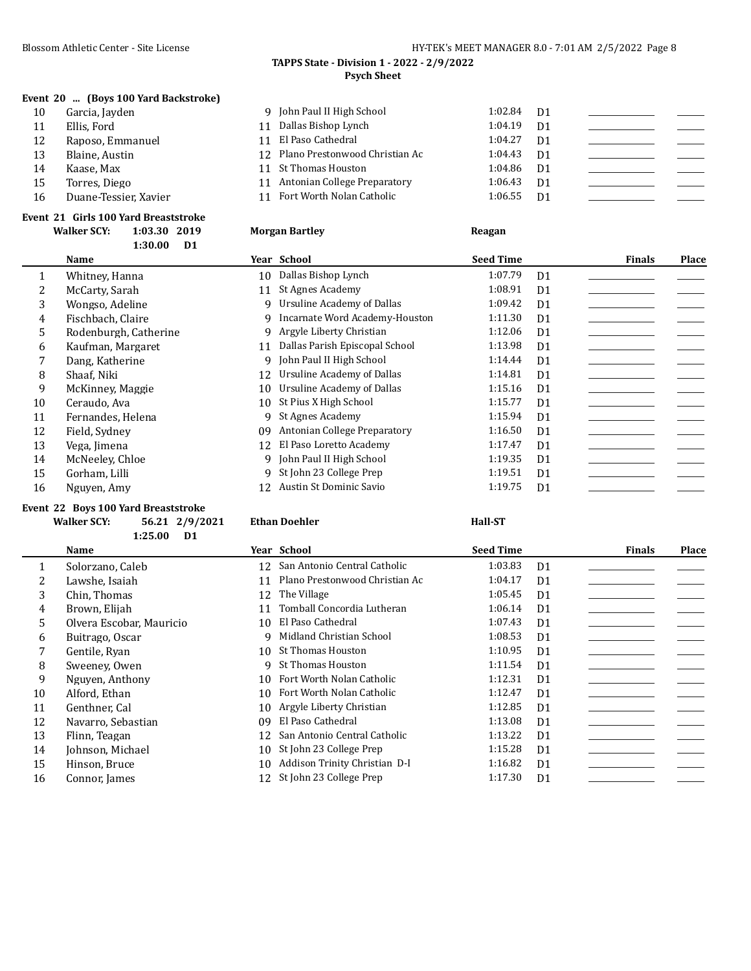# **TAPPS State - Division 1 - 2022 - 2/9/2022 Psych Sheet**

# **Event 20 ... (Boys 100 Yard Backstroke)**

| 10 | Garcia, Jayden        | 9 John Paul II High School        | 1:02.84 | D1             |  |
|----|-----------------------|-----------------------------------|---------|----------------|--|
| 11 | Ellis, Ford           | 11 Dallas Bishop Lynch            | 1:04.19 | D <sub>1</sub> |  |
| 12 | Raposo, Emmanuel      | 11 El Paso Cathedral              | 1:04.27 | D <sub>1</sub> |  |
| 13 | Blaine, Austin        | 12 Plano Prestonwood Christian Ac | 1:04.43 | D1             |  |
| 14 | Kaase, Max            | 11 St Thomas Houston              | 1:04.86 | - D1           |  |
| 15 | Torres, Diego         | 11 Antonian College Preparatory   | 1:06.43 | D1             |  |
| 16 | Duane-Tessier, Xavier | 11 Fort Worth Nolan Catholic      | 1:06.55 | D1             |  |
|    |                       |                                   |         |                |  |

**Morgan Bartley 1:03.30 2019 Reagan** 

### **Event 21 Girls 100 Yard Breaststroke**

| <b>Walker SCY:</b> | 1:03.30 2019 |  |
|--------------------|--------------|--|
|                    | $1:30.00$ D1 |  |

|    | Name                  |    | Year School                    | <b>Seed Time</b> |                | <b>Finals</b> | Place |
|----|-----------------------|----|--------------------------------|------------------|----------------|---------------|-------|
| 1  | Whitney, Hanna        | 10 | Dallas Bishop Lynch            | 1:07.79          | D <sub>1</sub> |               |       |
| 2  | McCarty, Sarah        | 11 | St Agnes Academy               | 1:08.91          | D <sub>1</sub> |               |       |
| 3  | Wongso, Adeline       | Q. | Ursuline Academy of Dallas     | 1:09.42          | D <sub>1</sub> |               |       |
| 4  | Fischbach, Claire     | 9. | Incarnate Word Academy-Houston | 1:11.30          | D <sub>1</sub> |               |       |
| 5  | Rodenburgh, Catherine | 9. | Argyle Liberty Christian       | 1:12.06          | D1             |               |       |
| 6  | Kaufman, Margaret     | 11 | Dallas Parish Episcopal School | 1:13.98          | D <sub>1</sub> |               |       |
|    | Dang, Katherine       | 9  | John Paul II High School       | 1:14.44          | D <sub>1</sub> |               |       |
| 8  | Shaaf, Niki           | 12 | Ursuline Academy of Dallas     | 1:14.81          | D <sub>1</sub> |               |       |
| 9  | McKinney, Maggie      | 10 | Ursuline Academy of Dallas     | 1:15.16          | D <sub>1</sub> |               |       |
| 10 | Ceraudo, Ava          | 10 | St Pius X High School          | 1:15.77          | D <sub>1</sub> |               |       |
| 11 | Fernandes, Helena     | 9  | St Agnes Academy               | 1:15.94          | D <sub>1</sub> |               |       |
| 12 | Field, Sydney         | 09 | Antonian College Preparatory   | 1:16.50          | D <sub>1</sub> |               |       |
| 13 | Vega, Jimena          | 12 | El Paso Loretto Academy        | 1:17.47          | D1             |               |       |
| 14 | McNeeley, Chloe       |    | 9 John Paul II High School     | 1:19.35          | D <sub>1</sub> |               |       |
| 15 | Gorham, Lilli         |    | 9 St John 23 College Prep      | 1:19.51          | D <sub>1</sub> |               |       |
| 16 | Nguyen, Amy           | 12 | Austin St Dominic Savio        | 1:19.75          | D <sub>1</sub> |               |       |
|    |                       |    |                                |                  |                |               |       |

### **Event 22 Boys 100 Yard Breaststroke**

# **Walker SCY: 56.21 2/9/2021 Ethan Doehler Hall-ST**

**1:25.00 D1**

|    | Name                     |    | Year School                     | <b>Seed Time</b> |                | <b>Finals</b> | Place |
|----|--------------------------|----|---------------------------------|------------------|----------------|---------------|-------|
|    | Solorzano, Caleb         |    | 12 San Antonio Central Catholic | 1:03.83          | D <sub>1</sub> |               |       |
|    | Lawshe, Isaiah           |    | Plano Prestonwood Christian Ac  | 1:04.17          | D <sub>1</sub> |               |       |
| 3  | Chin. Thomas             |    | 12 The Village                  | 1:05.45          | D <sub>1</sub> |               |       |
| 4  | Brown, Elijah            | 11 | Tomball Concordia Lutheran      | 1:06.14          | D <sub>1</sub> |               |       |
| 5. | Olvera Escobar, Mauricio | 10 | El Paso Cathedral               | 1:07.43          | D <sub>1</sub> |               |       |
| 6  | Buitrago, Oscar          |    | Midland Christian School        | 1:08.53          | D <sub>1</sub> |               |       |
|    | Gentile, Ryan            | 10 | St Thomas Houston               | 1:10.95          | D <sub>1</sub> |               |       |
| 8  | Sweeney, Owen            | q  | St Thomas Houston               | 1:11.54          | D <sub>1</sub> |               |       |
| 9  | Nguyen, Anthony          | 10 | Fort Worth Nolan Catholic       | 1:12.31          | D <sub>1</sub> |               |       |
| 10 | Alford, Ethan            | 10 | Fort Worth Nolan Catholic       | 1:12.47          | D <sub>1</sub> |               |       |
| 11 | Genthner, Cal            |    | 10 Argyle Liberty Christian     | 1:12.85          | D <sub>1</sub> |               |       |
| 12 | Navarro, Sebastian       | 09 | El Paso Cathedral               | 1:13.08          | D <sub>1</sub> |               |       |
| 13 | Flinn, Teagan            |    | 12 San Antonio Central Catholic | 1:13.22          | D <sub>1</sub> |               |       |
| 14 | Johnson, Michael         | 10 | St John 23 College Prep         | 1:15.28          | D <sub>1</sub> |               |       |
| 15 | Hinson, Bruce            | 10 | Addison Trinity Christian D-I   | 1:16.82          | D <sub>1</sub> |               |       |
| 16 | Connor, James            |    | 12 St John 23 College Prep      | 1:17.30          | D <sub>1</sub> |               |       |